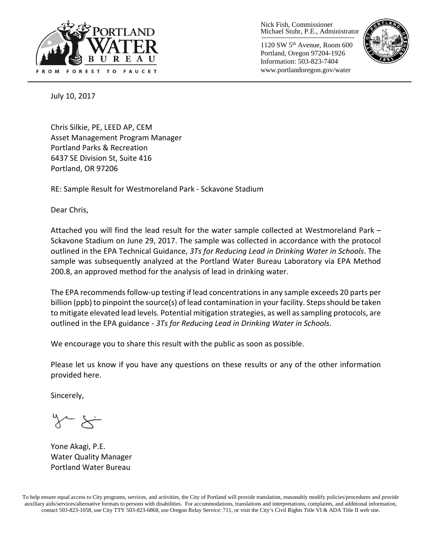

Nick Fish, Commissioner Michael Stuhr, P.E., Administrator

1120 SW 5th Avenue, Room 600 Portland, Oregon 97204-1926 Information: 503-823-7404 www.portlandoregon.gov/water



July 10, 2017

Chris Silkie, PE, LEED AP, CEM Asset Management Program Manager Portland Parks & Recreation 6437 SE Division St, Suite 416 Portland, OR 97206

RE: Sample Result for Westmoreland Park - Sckavone Stadium

Dear Chris,

Attached you will find the lead result for the water sample collected at Westmoreland Park – Sckavone Stadium on June 29, 2017. The sample was collected in accordance with the protocol outlined in the EPA Technical Guidance, *3Ts for Reducing Lead in Drinking Water in Schools*. The sample was subsequently analyzed at the Portland Water Bureau Laboratory via EPA Method 200.8, an approved method for the analysis of lead in drinking water.

The EPA recommends follow-up testing if lead concentrations in any sample exceeds 20 parts per billion (ppb) to pinpoint the source(s) of lead contamination in your facility. Steps should be taken to mitigate elevated lead levels. Potential mitigation strategies, as well as sampling protocols, are outlined in the EPA guidance - *3Ts for Reducing Lead in Drinking Water in Schools*.

We encourage you to share this result with the public as soon as possible.

Please let us know if you have any questions on these results or any of the other information provided here.

Sincerely,

Yone Akagi, P.E. Water Quality Manager Portland Water Bureau

To help ensure equal access to City programs, services, and activities, the City of Portland will provide translation, reasonably modify policies/procedures and provide auxiliary aids/services/alternative formats to persons with disabilities. For accommodations, translations and interpretations, complaints, and additional information, contact 503-823-1058, use City TTY 503-823-6868, use Oregon Relay Service: 711, or visi[t the City's Civil Rights Title VI & ADA Title II web site.](http://www.portlandoregon.gov/oehr/66458)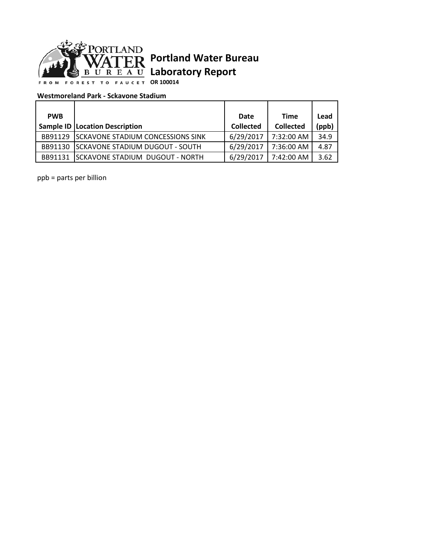

## **Portland Water Bureau Laboratory Report**

**OR 100014**

## **Westmoreland Park - Sckavone Stadium**

| <b>PWB</b> |                                           | Date             | <b>Time</b>      | Lead  |
|------------|-------------------------------------------|------------------|------------------|-------|
|            | <b>Sample ID   Location Description</b>   | <b>Collected</b> | <b>Collected</b> | (ppb) |
| BB91129    | <b>ISCKAVONE STADIUM CONCESSIONS SINK</b> | 6/29/2017        | 7:32:00 AM       | 34.9  |
| BB91130    | <b>ISCKAVONE STADIUM DUGOUT - SOUTH</b>   | 6/29/2017        | 7:36:00 AM       | 4.87  |
| BB91131    | ISCKAVONE STADIUM DUGOUT - NORTH          | 6/29/2017        | 7:42:00 AM       | 3.62  |

ppb = parts per billion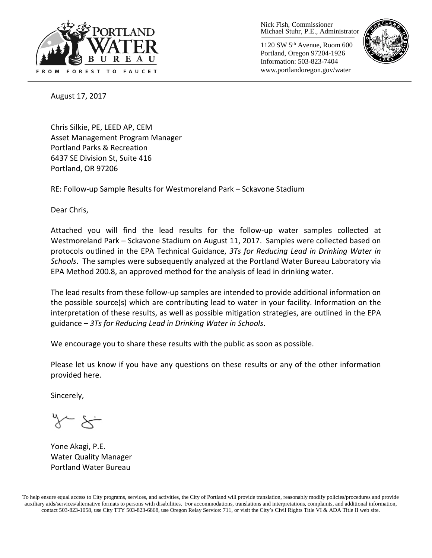

Nick Fish, Commissioner Michael Stuhr, P.E., Administrator

1120 SW 5th Avenue, Room 600 Portland, Oregon 97204-1926 Information: 503-823-7404 www.portlandoregon.gov/water



August 17, 2017

Chris Silkie, PE, LEED AP, CEM Asset Management Program Manager Portland Parks & Recreation 6437 SE Division St, Suite 416 Portland, OR 97206

RE: Follow-up Sample Results for Westmoreland Park – Sckavone Stadium

Dear Chris,

Attached you will find the lead results for the follow-up water samples collected at Westmoreland Park – Sckavone Stadium on August 11, 2017. Samples were collected based on protocols outlined in the EPA Technical Guidance, *3Ts for Reducing Lead in Drinking Water in Schools*. The samples were subsequently analyzed at the Portland Water Bureau Laboratory via EPA Method 200.8, an approved method for the analysis of lead in drinking water.

The lead results from these follow-up samples are intended to provide additional information on the possible source(s) which are contributing lead to water in your facility. Information on the interpretation of these results, as well as possible mitigation strategies, are outlined in the EPA guidance – *3Ts for Reducing Lead in Drinking Water in Schools*.

We encourage you to share these results with the public as soon as possible.

Please let us know if you have any questions on these results or any of the other information provided here.

Sincerely,

Yone Akagi, P.E. Water Quality Manager Portland Water Bureau

To help ensure equal access to City programs, services, and activities, the City of Portland will provide translation, reasonably modify policies/procedures and provide auxiliary aids/services/alternative formats to persons with disabilities. For accommodations, translations and interpretations, complaints, and additional information, contact 503-823-1058, use City TTY 503-823-6868, use Oregon Relay Service: 711, or visi[t the City's Civil Rights Title VI & ADA Title II web site.](http://www.portlandoregon.gov/oehr/66458)